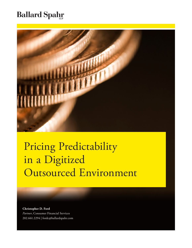### **Ballard Spahr**



# Pricing Predictability in a Digitized Outsourced Environment

**Christopher D. Ford** *Partner*, Consumer Financial Services 202.661.2294 | fordc@ballardspahr.com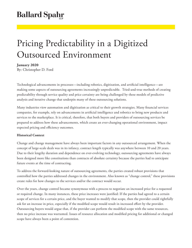### **Ballard Spahr**

## Pricing Predictability in a Digitized Outsourced Environment

#### **January 2020**

By: Christopher D. Ford

Technological advancements in processes—including robotics, digitization, and artificial intelligence—are making some aspects of outsourcing agreements increasingly unpredictable. Tried-and-true methods of creating predictability through service quality and price certainty are being challenged by these models of predictive analysis and iterative change that underpin many of these outsourcing solutions.

Many industries view automation and digitization as critical to their growth strategies. Many financial services companies, for example, rely on advancements in artificial intelligence and robotics to bring new products and services to the marketplace. It is critical, therefore, that both buyers and providers of outsourcing services be prepared to address how these advancements, which create an ever-changing operational environment, impact expected pricing and efficiency outcomes.

#### **Historical Context**

Change and change management have always been important factors in any outsourced arrangement. When the concept of large-scale deals was in its infancy, contract length typically was anywhere between 10 and 20 years. Due to their lengthy duration and dependence on ever-evolving technology, outsourcing agreements have always been designed more like constitutions than contracts of absolute certainty because the parties had to anticipate future events at the time of contracting.

To address the forward-looking nature of outsourcing agreements, the parties created robust provisions that controlled how the parties addressed changes in the environment. Also known as "change control," these provisions create rules for how changes to the services and/or the contract would occur.

Over the years, change control became synonymous with a process to negotiate an increased price for a requested or required change. In many instances, these price increases were justified: If the parties had agreed to a certain scope of services for a certain price, and the buyer wanted to modify that scope, then the provider could rightfully ask for an increase in price, especially if the modified scope would result in increased effort by the provider. Outsourcing buyers would argue that, if the provider can perform the modified scope with the same resources, then no price increase was warranted. Issues of resource allocation and modified pricing for additional or changed scope have always been a point of contention.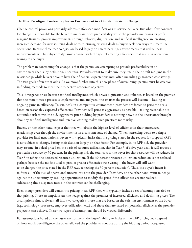#### **The New Paradigm: Contracting for an Environment in a Constant State of Change**

Change control provisions primarily address unforeseen modifications in service delivery. But what if we contract for change? Is it possible for the buyer to maintain price predictability while the provider maintains its profit margin? Business process improvements through robotics, digitization, and artificial intelligence are creating increased demand for new sourcing deals or restructuring existing deals as buyers seek new ways to streamline operations. Because these technologies are based largely on smart learning, environments that utilize these improvements will be subject to dynamic change, with the goal of creating efficiencies that result in operational savings to the buyer.

The problem in contracting for change is that the parties are attempting to provide predictability in an environment that is, by definition, uncertain. Providers want to make sure they retain their profit margins in the relationship, while buyers drive to have their financial expectations met, often including guaranteed cost savings. The two goals often are at odds. As we move further into this new phase of outsourcing, parties must be creative in finding methods to meet their respective economic objectives.

This divergence arises because artificial intelligence, which drives digitization and robotics, is based on the premise that the more times a process is implemented and analyzed, the smarter the process will become—leading to ongoing gains in efficiency. To win deals in a competitive environment, providers are forced to price the deals based on reasonably expected efficiencies. Providers will price as aggressively as possible—taking reasonable but not undue risk to win the bid. Aggressive price bidding by providers is nothing new, but the uncertainty brought about by artificial intelligence and iterative learning makes such practices more risky.

Buyers, on the other hand, expect that they will obtain the highest level of efficiency in their outsourced relationship even though the environment is in a constant state of change. When narrowing down to a single provider for final negotiations, buyers will typically insist that the pricing stated in the request for proposal (RFP) is not subject to change, basing their decision largely on that factor. For example, in its RFP bid, the provider may assume, in a deal priced on the basis of resource utilization, that in Year 3 of a five-year deal, it will reduce a particular resource by 30 percent. In the pricing bid, the total cost to the buyer for that resource will be reduced in Year 3 to reflect the decreased resource utilization. If the 30 percent resource utilization reduction is not realized perhaps because the models used to predict greater efficiencies were wrong—the buyer will still want to be charged the price stated in the RFP (*i.e*., reflecting the 30 percent reduction). Thus, the buyer's intent is to force all of the risk of operational uncertainty onto the provider. Providers, on the other hand, want to hedge against the uncertainty by seeking opportunities to modify the price if the efficiencies are not realized. Addressing these disparate needs in the contract can be challenging.

Even though providers will commit to pricing in an RFP, they will typically include a set of assumptions tied to that pricing. Those assumptions are the hedge against the promises of increased efficiency and declining prices. The assumptions almost always fall into two categories: those that are based on the existing environment of the buyer (*e.g.*, technology, processes, employee utilization, etc.) and those that are based on potential efficiencies the provider projects it can achieve. These two types of assumptions should be viewed differently.

For assumptions based on the buyer environment, the buyer's ability to insist on the RFP pricing may depend on how much due diligence the buyer allowed the provider to conduct during the bidding period. Requested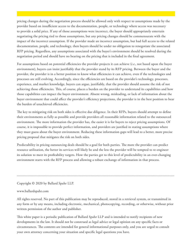pricing changes during the negotiation process should be allowed only with respect to assumptions made by the provider based on insufficient access to the documentation, people, or technology where access was necessary to provide a solid price. If any of those assumptions were incorrect, the buyer should appropriately entertain negotiating the pricing tied to those assumptions, but any pricing changes should be commensurate with the impact of the incorrect assumption. If the provider made an incorrect assumption, but had full access to the related documentation, people, and technology, then buyers should be under no obligation to renegotiate the associated RFP pricing. Regardless, any assumptions associated with the buyer's environment should be resolved during the negotiation period and should have no bearing on the pricing that is included in the final agreement.

For assumptions based on potential efficiencies the provider projects it can achieve (*i.e.*, not based upon the buyer environment), buyers can insist justifiably that the provider stand by its RFP pricing. Between the buyer and the provider, the provider is in a better position to know what efficiencies it can achieve, even if the technologies and processes are still evolving. Accordingly, since the efficiencies are based on the provider's technology, processes, experience, and market knowledge, buyers can argue, justifiably, that the provider should assume the risk of not achieving those efficiencies. This, of course, places a burden on the provider to understand its capabilities and how those capabilities can impact the buyer environment. Absent wrong, misleading, or lack of information about the buyer environment that could affect the provider's efficiency projections, the provider is in the best position to bear the burden of unachieved efficiencies.

The key to mitigating risk on both sides is effective due diligence. In their RFPs, buyers should attempt to define their environments as fully as possible and provide providers all reasonable information related to the outsourced environment. The more information the provider has, the easier it is for buyers to reject pricing assumptions. Of course, it is impossible to provide perfect information, and providers are justified in stating assumptions where they must guess about the buyer environment. Reducing these information gaps will lead to a better, more precise pricing proposal that mitigates the risk on both sides.

Predictability in pricing outsourcing deals should be a goal for both parties. The more the provider can predict resource utilization, the better its services will likely be and the less the provider will be tempted to re-engineer its solution to meet its profitability targets. How the parties get to this level of predictability in an ever-changing environment starts with the RFP process and allowing a robust exchange of information in that process.

Copyright © 2020 by Ballard Spahr LLP.

#### www.ballardspahr.com

All rights reserved. No part of this publication may be reproduced, stored in a retrieval system, or transmitted in any form or by any means, including electronic, mechanical, photocopying, recording, or otherwise, without prior written permission of the author and publisher.

------------------------------------------------------------------------------------------------------------------------------------

This white paper is a periodic publication of Ballard Spahr LLP and is intended to notify recipients of new developments in the law. It should not be construed as legal advice or legal opinion on any specific facts or circumstances. The contents are intended for general informational purposes only, and you are urged to consult your own attorney concerning your situation and specific legal questions you have.